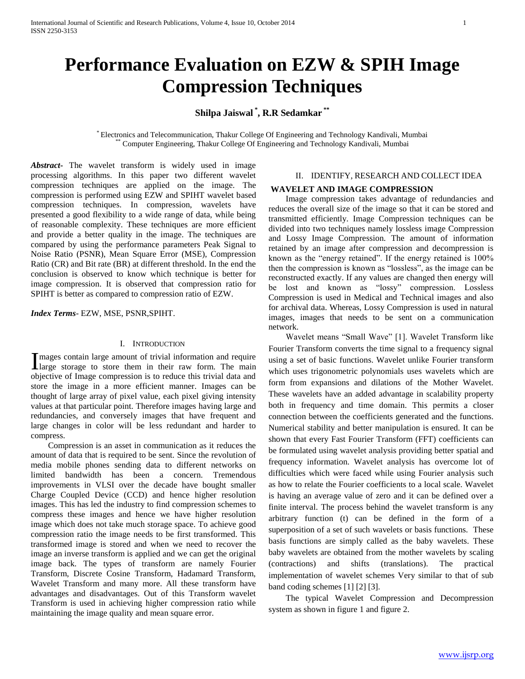# **Performance Evaluation on EZW & SPIH Image Compression Techniques**

**Shilpa Jaiswal \* , R.R Sedamkar \*\***

\* Electronics and Telecommunication, Thakur College Of Engineering and Technology Kandivali, Mumbai \*\* Computer Engineering, Thakur College Of Engineering and Technology Kandivali, Mumbai

*Abstract***-** The wavelet transform is widely used in image processing algorithms. In this paper two different wavelet compression techniques are applied on the image. The compression is performed using EZW and SPIHT wavelet based compression techniques. In compression, wavelets have presented a good flexibility to a wide range of data, while being of reasonable complexity. These techniques are more efficient and provide a better quality in the image. The techniques are compared by using the performance parameters Peak Signal to Noise Ratio (PSNR), Mean Square Error (MSE), Compression Ratio (CR) and Bit rate (BR) at different threshold. In the end the conclusion is observed to know which technique is better for image compression. It is observed that compression ratio for SPIHT is better as compared to compression ratio of EZW.

*Index Terms*- EZW, MSE, PSNR,SPIHT.

#### I. INTRODUCTION

mages contain large amount of trivial information and require Images contain large amount of trivial information and require<br>large storage to store them in their raw form. The main objective of Image compression is to reduce this trivial data and store the image in a more efficient manner. Images can be thought of large array of pixel value, each pixel giving intensity values at that particular point. Therefore images having large and redundancies, and conversely images that have frequent and large changes in color will be less redundant and harder to compress.

 Compression is an asset in communication as it reduces the amount of data that is required to be sent. Since the revolution of media mobile phones sending data to different networks on limited bandwidth has been a concern. Tremendous improvements in VLSI over the decade have bought smaller Charge Coupled Device (CCD) and hence higher resolution images. This has led the industry to find compression schemes to compress these images and hence we have higher resolution image which does not take much storage space. To achieve good compression ratio the image needs to be first transformed. This transformed image is stored and when we need to recover the image an inverse transform is applied and we can get the original image back. The types of transform are namely Fourier Transform, Discrete Cosine Transform, Hadamard Transform, Wavelet Transform and many more. All these transform have advantages and disadvantages. Out of this Transform wavelet Transform is used in achieving higher compression ratio while maintaining the image quality and mean square error.

## II. IDENTIFY, RESEARCH AND COLLECT IDEA

#### **WAVELET AND IMAGE COMPRESSION**

 Image compression takes advantage of redundancies and reduces the overall size of the image so that it can be stored and transmitted efficiently. Image Compression techniques can be divided into two techniques namely lossless image Compression and Lossy Image Compression. The amount of information retained by an image after compression and decompression is known as the "energy retained". If the energy retained is 100% then the compression is known as "lossless", as the image can be reconstructed exactly. If any values are changed then energy will be lost and known as "lossy" compression. Lossless Compression is used in Medical and Technical images and also for archival data. Whereas, Lossy Compression is used in natural images, images that needs to be sent on a communication network.

 Wavelet means "Small Wave" [1]. Wavelet Transform like Fourier Transform converts the time signal to a frequency signal using a set of basic functions. Wavelet unlike Fourier transform which uses trigonometric polynomials uses wavelets which are form from expansions and dilations of the Mother Wavelet. These wavelets have an added advantage in scalability property both in frequency and time domain. This permits a closer connection between the coefficients generated and the functions. Numerical stability and better manipulation is ensured. It can be shown that every Fast Fourier Transform (FFT) coefficients can be formulated using wavelet analysis providing better spatial and frequency information. Wavelet analysis has overcome lot of difficulties which were faced while using Fourier analysis such as how to relate the Fourier coefficients to a local scale. Wavelet is having an average value of zero and it can be defined over a finite interval. The process behind the wavelet transform is any arbitrary function (t) can be defined in the form of a superposition of a set of such wavelets or basis functions. These basis functions are simply called as the baby wavelets. These baby wavelets are obtained from the mother wavelets by scaling (contractions) and shifts (translations). The practical implementation of wavelet schemes Very similar to that of sub band coding schemes [1] [2] [3].

 The typical Wavelet Compression and Decompression system as shown in figure 1 and figure 2.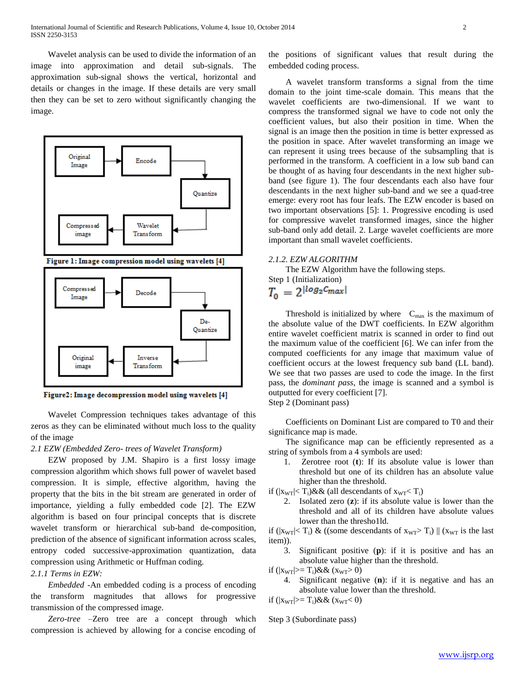Wavelet analysis can be used to divide the information of an image into approximation and detail sub-signals. The approximation sub-signal shows the vertical, horizontal and details or changes in the image. If these details are very small then they can be set to zero without significantly changing the image.



Figure2: Image decompression model using wavelets [4]

 Wavelet Compression techniques takes advantage of this zeros as they can be eliminated without much loss to the quality of the image

#### *2.1 EZW (Embedded Zero- trees of Wavelet Transform)*

 EZW proposed by J.M. Shapiro is a first lossy image compression algorithm which shows full power of wavelet based compression. It is simple, effective algorithm, having the property that the bits in the bit stream are generated in order of importance, yielding a fully embedded code [2]. The EZW algorithm is based on four principal concepts that is discrete wavelet transform or hierarchical sub-band de-composition, prediction of the absence of significant information across scales, entropy coded successive-approximation quantization, data compression using Arithmetic or Huffman coding.

## *2.1.1 Terms in EZW:*

 *Embedded* -An embedded coding is a process of encoding the transform magnitudes that allows for progressive transmission of the compressed image.

 *Zero-tree* –Zero tree are a concept through which compression is achieved by allowing for a concise encoding of the positions of significant values that result during the embedded coding process.

 A wavelet transform transforms a signal from the time domain to the joint time-scale domain. This means that the wavelet coefficients are two-dimensional. If we want to compress the transformed signal we have to code not only the coefficient values, but also their position in time. When the signal is an image then the position in time is better expressed as the position in space. After wavelet transforming an image we can represent it using trees because of the subsampling that is performed in the transform. A coefficient in a low sub band can be thought of as having four descendants in the next higher subband (see figure 1). The four descendants each also have four descendants in the next higher sub-band and we see a quad-tree emerge: every root has four leafs. The EZW encoder is based on two important observations [5]: 1. Progressive encoding is used for compressive wavelet transformed images, since the higher sub-band only add detail. 2. Large wavelet coefficients are more important than small wavelet coefficients.

#### *2.1.2. EZW ALGORITHM*

The EZW Algorithm have the following steps.

Step 1 (Initialization)  

$$
T_0 = 2^{\lfloor \log_2 C_{\text{max}} \rfloor}
$$

Threshold is initialized by where  $C_{\text{max}}$  is the maximum of the absolute value of the DWT coefficients. In EZW algorithm entire wavelet coefficient matrix is scanned in order to find out the maximum value of the coefficient [6]. We can infer from the computed coefficients for any image that maximum value of coefficient occurs at the lowest frequency sub band (LL band). We see that two passes are used to code the image. In the first pass, the *dominant pass*, the image is scanned and a symbol is outputted for every coefficient [7]. Step 2 (Dominant pass)

 Coefficients on Dominant List are compared to T0 and their significance map is made.

 The significance map can be efficiently represented as a string of symbols from a 4 symbols are used:

- 1. Zerotree root (**t**): If its absolute value is lower than threshold but one of its children has an absolute value higher than the threshold.
- if  $(|x_{WT}| < T_i) \&&$  (all descendants of  $x_{WT} < T_i$ )
	- 2. Isolated zero (**z**): if its absolute value is lower than the threshold and all of its children have absolute values lower than the thresho1ld.

if ( $|x_{WT}| < T_i$ ) & ((some descendants of  $x_{WT} > T_i$ ) || ( $x_{WT}$  is the last item)).

3. Significant positive (**p**): if it is positive and has an absolute value higher than the threshold.

if  $(|x_{WT}|>= T_i)\&& (x_{WT}> 0)$ 

4. Significant negative (**n**): if it is negative and has an absolute value lower than the threshold.

if  $(|x_{WT}|>= T_i)\&& (x_{WT}< 0)$ 

Step 3 (Subordinate pass)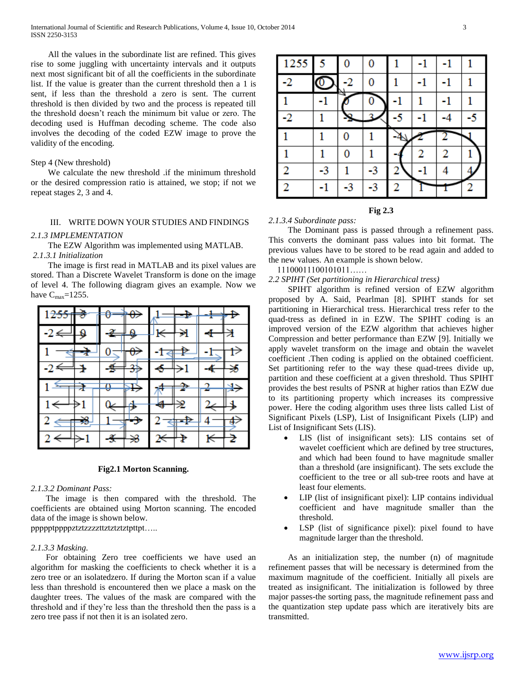All the values in the subordinate list are refined. This gives rise to some juggling with uncertainty intervals and it outputs next most significant bit of all the coefficients in the subordinate list. If the value is greater than the current threshold then a 1 is sent, if less than the threshold a zero is sent. The current threshold is then divided by two and the process is repeated till the threshold doesn't reach the minimum bit value or zero. The decoding used is Huffman decoding scheme. The code also involves the decoding of the coded EZW image to prove the validity of the encoding.

#### Step 4 (New threshold)

 We calculate the new threshold .if the minimum threshold or the desired compression ratio is attained, we stop; if not we repeat stages 2, 3 and 4.

## III. WRITE DOWN YOUR STUDIES AND FINDINGS

#### *2.1.3 IMPLEMENTATION*

The EZW Algorithm was implemented using MATLAB.

*2.1.3.1 Initialization*

 The image is first read in MATLAB and its pixel values are stored. Than a Discrete Wavelet Transform is done on the image of level 4. The following diagram gives an example. Now we have  $C_{\text{max}}$ =1255.

|                     |     |      |   |                         | ╺┺⊣      | <del>! ↓ D</del> |               |
|---------------------|-----|------|---|-------------------------|----------|------------------|---------------|
| $-2 \Longleftarrow$ | ₽   | م⊬≆- |   | $\overline{\mathbb{R}}$ | €        | ╉─┼Ѯ             |               |
|                     | -7  |      | ⊕ |                         |          |                  | $\rightarrow$ |
|                     |     | ≇    | ₩ | $\leftarrow$            |          | $\ddot{\text{}}$ |               |
|                     |     |      |   |                         |          |                  |               |
| د 1                 |     | o    |   |                         |          |                  |               |
|                     |     |      |   | ₩                       |          |                  |               |
|                     | - 3 |      |   |                         | ⊲⊨⊉<br>╇ |                  |               |

#### **Fig2.1 Morton Scanning.**

#### *2.1.3.2 Dominant Pass:*

 The image is then compared with the threshold. The coefficients are obtained using Morton scanning. The encoded data of the image is shown below.

ppppptppppztztzzzzttztztztztpttpt…..

#### *2.1.3.3 Masking.*

 For obtaining Zero tree coefficients we have used an algorithm for masking the coefficients to check whether it is a zero tree or an isolatedzero. If during the Morton scan if a value less than threshold is encountered then we place a mask on the daughter trees. The values of the mask are compared with the threshold and if they're less than the threshold then the pass is a zero tree pass if not then it is an isolated zero.

| 1255 | 5  | 0 | 0  |    |    | -1 |    |
|------|----|---|----|----|----|----|----|
| -2   |    |   |    |    | -1 | -1 |    |
|      |    |   |    |    |    |    |    |
| -2   |    |   |    | -5 | -1 |    | -5 |
|      |    |   |    |    |    |    |    |
|      |    |   |    |    |    |    |    |
|      |    | 0 |    |    |    | 2  |    |
| 2    | -3 |   | -3 |    |    |    |    |

#### **Fig 2.3**

## *2.1.3.4 Subordinate pass:*

 The Dominant pass is passed through a refinement pass. This converts the dominant pass values into bit format. The previous values have to be stored to be read again and added to the new values. An example is shown below.

11100011100101011……

*2.2 SPIHT (Set partitioning in Hierarchical tress)*

 SPIHT algorithm is refined version of EZW algorithm proposed by A. Said, Pearlman [8]. SPIHT stands for set partitioning in Hierarchical tress. Hierarchical tress refer to the quad-tress as defined in in EZW. The SPIHT coding is an improved version of the EZW algorithm that achieves higher Compression and better performance than EZW [9]. Initially we apply wavelet transform on the image and obtain the wavelet coefficient .Then coding is applied on the obtained coefficient. Set partitioning refer to the way these quad-trees divide up, partition and these coefficient at a given threshold. Thus SPIHT provides the best results of PSNR at higher ratios than EZW due to its partitioning property which increases its compressive power. Here the coding algorithm uses three lists called List of Significant Pixels (LSP), List of Insignificant Pixels (LIP) and List of Insignificant Sets (LIS).

- LIS (list of insignificant sets): LIS contains set of wavelet coefficient which are defined by tree structures, and which had been found to have magnitude smaller than a threshold (are insignificant). The sets exclude the coefficient to the tree or all sub-tree roots and have at least four elements.
- LIP (list of insignificant pixel): LIP contains individual coefficient and have magnitude smaller than the threshold.
- LSP (list of significance pixel): pixel found to have magnitude larger than the threshold.

 As an initialization step, the number (n) of magnitude refinement passes that will be necessary is determined from the maximum magnitude of the coefficient. Initially all pixels are treated as insignificant. The initialization is followed by three major passes-the sorting pass, the magnitude refinement pass and the quantization step update pass which are iteratively bits are transmitted.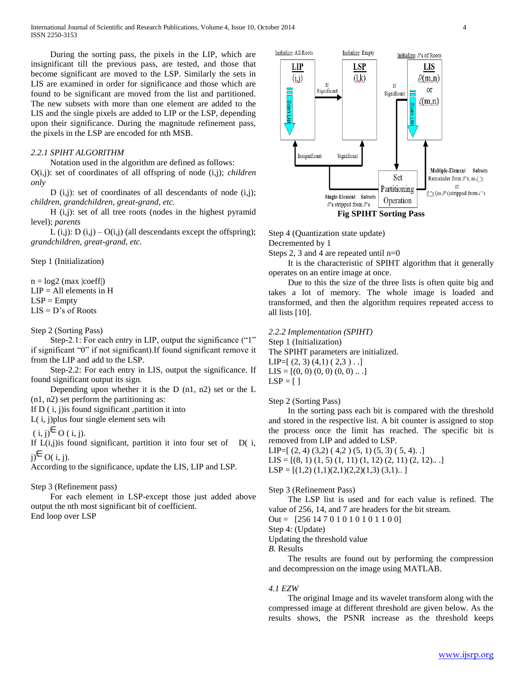During the sorting pass, the pixels in the LIP, which are insignificant till the previous pass, are tested, and those that become significant are moved to the LSP. Similarly the sets in LIS are examined in order for significance and those which are found to be significant are moved from the list and partitioned. The new subsets with more than one element are added to the LIS and the single pixels are added to LIP or the LSP, depending upon their significance. During the magnitude refinement pass, the pixels in the LSP are encoded for nth MSB.

## *2.2.1 SPIHT ALGORITHM*

 Notation used in the algorithm are defined as follows: O(i,j): set of coordinates of all offspring of node (i,j); *children only*

D  $(i,j)$ : set of coordinates of all descendants of node  $(i,j)$ ; *children, grandchildren, great-grand, etc.*

 H (i,j): set of all tree roots (nodes in the highest pyramid level); *parents*

L (i,j): D (i,j) –  $O(i,j)$  (all descendants except the offspring); *grandchildren, great-grand, etc.*

Step 1 (Initialization)

 $n = log2$  (max  $|coeff|$ )  $LIP = All$  elements in H  $LSP = Empty$  $LIS = D's$  of Roots

## Step 2 (Sorting Pass)

Step-2.1: For each entry in LIP, output the significance ("1" if significant "0" if not significant).If found significant remove it from the LIP and add to the LSP.

 Step-2.2: For each entry in LIS, output the significance. If found significant output its sign.

 Depending upon whether it is the D (n1, n2) set or the L (n1, n2) set perform the partitioning as:

If  $D(i, j)$  is found significant, partition it into

L( i, j)plus four single element sets wih

 $(i, j)$ <sup> $\in$ </sup> O  $(i, j)$ .

If  $L(i,j)$  is found significant, partition it into four set of D( $i$ ,  $i) \in O(i, i)$ .

According to the significance, update the LIS, LIP and LSP.

## Step 3 (Refinement pass)

 For each element in LSP-except those just added above output the nth most significant bit of coefficient. End loop over LSP



Step 4 (Quantization state update)

Decremented by 1

Steps 2, 3 and 4 are repeated until  $n=0$ 

 It is the characteristic of SPIHT algorithm that it generally operates on an entire image at once.

 Due to this the size of the three lists is often quite big and takes a lot of memory. The whole image is loaded and transformed, and then the algorithm requires repeated access to all lists [10].

## *2.2.2 Implementation (SPIHT)*

Step 1 (Initialization) The SPIHT parameters are initialized. LIP= $[(2, 3), (4,1), (2,3)$ ..]  $LIS = [(0, 0), (0, 0), (0, 0), \ldots]$  $LSP = [ ]$ 

## Step 2 (Sorting Pass)

 In the sorting pass each bit is compared with the threshold and stored in the respective list. A bit counter is assigned to stop the process once the limit has reached. The specific bit is removed from LIP and added to LSP.

LIP= $[(2, 4) (3, 2) (4, 2) (5, 1) (5, 3) (5, 4)$ .

- $LIS = [(8, 1), (1, 5), (1, 11), (1, 12), (2, 11), (2, 12), \ldots]$
- $LSP = [(1,2)(1,1)(2,1)(2,2)(1,3)(3,1)$ ...]

## Step 3 (Refinement Pass)

 The LSP list is used and for each value is refined. The value of 256, 14, and 7 are headers for the bit stream.

Out = [256 14 7 0 1 0 1 0 1 0 1 1 0 0]

Step 4: (Update)

Updating the threshold value

*B.* Results

 The results are found out by performing the compression and decompression on the image using MATLAB.

## *4.1 EZW*

 The original Image and its wavelet transform along with the compressed image at different threshold are given below. As the results shows, the PSNR increase as the threshold keeps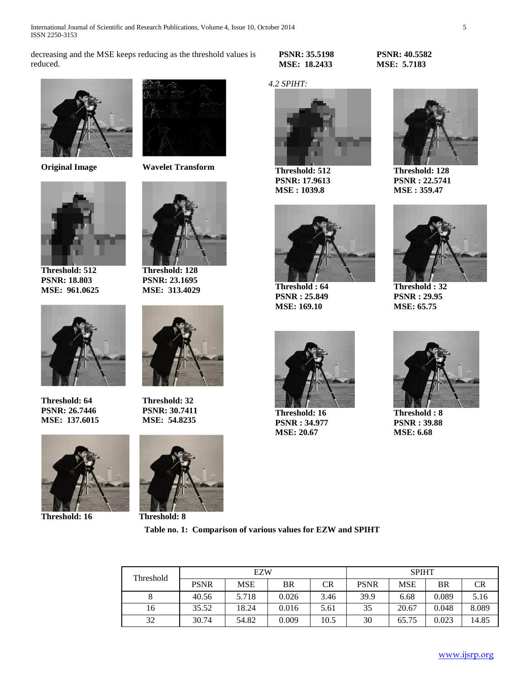International Journal of Scientific and Research Publications, Volume 4, Issue 10, October 2014 5 ISSN 2250-3153

decreasing and the MSE keeps reducing as the threshold values is reduced.





**Threshold: 512 PSNR: 18.803 MSE: 961.0625**



**Threshold: 64 PSNR: 26.7446 MSE: 137.6015**



**Threshold: 16 Threshold: 8**



**Original Image Wavelet Transform**



**Threshold: 128 PSNR: 23.1695 MSE: 313.4029**



**Threshold: 32 PSNR: 30.7411 MSE: 54.8235**



**PSNR: 35.5198 MSE: 18.2433**

## *4.2 SPIHT:*



**Threshold: 512 PSNR: 17.9613 MSE : 1039.8**



**Threshold : 64 PSNR : 25.849 MSE: 169.10**



**Threshold: 16 PSNR : 34.977 MSE: 20.67**





**Threshold: 128 PSNR : 22.5741 MSE : 359.47**



**Threshold : 32 PSNR : 29.95 MSE: 65.75**



**Threshold : 8 PSNR : 39.88 MSE: 6.68**

| Threshold | <b>EZW</b>  |            |       |      | <b>SPIHT</b> |            |       |       |
|-----------|-------------|------------|-------|------|--------------|------------|-------|-------|
|           | <b>PSNR</b> | <b>MSE</b> | BR    | CR   | PSNR         | <b>MSE</b> | BR    | CR    |
|           | 40.56       | 5.718      | 0.026 | 3.46 | 39.9         | 6.68       | 0.089 | 5.16  |
| 16        | 35.52       | 18.24      | 0.016 | 5.61 | 35           | 20.67      | 0.048 | 8.089 |
| 32        | 30.74       | 54.82      | 0.009 | 10.5 | 30           | 65.75      | 0.023 | 14.85 |

**Table no. 1: Comparison of various values for EZW and SPIHT**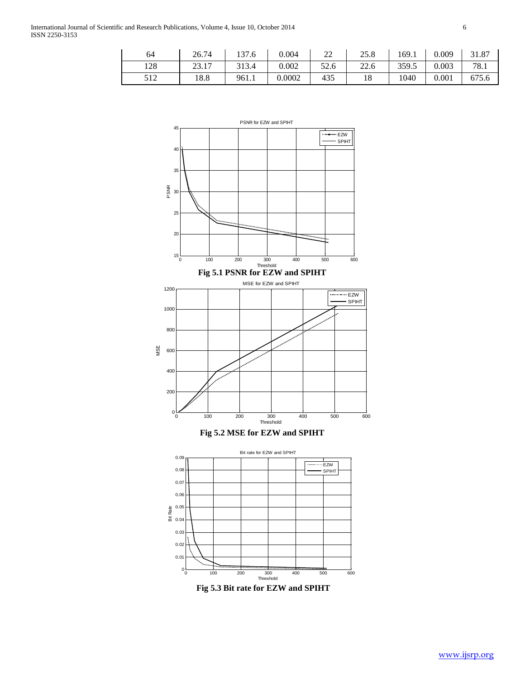| 64  | 26.74 | 137.6 | 0.004  | nn<br>∠∠ | 25.8 | 169.1 | 0.009 | 31.87 |
|-----|-------|-------|--------|----------|------|-------|-------|-------|
| 128 | 23.17 | 313.4 | 0.002  | 52.6     | 22.6 | 359.5 | 0.003 | 78.1  |
| 512 | 18.8  | 961.1 | 0.0002 | 435      | 10   | 1040  | 0.001 | 675.6 |



**Fig 5.3 Bit rate for EZW and SPIHT**